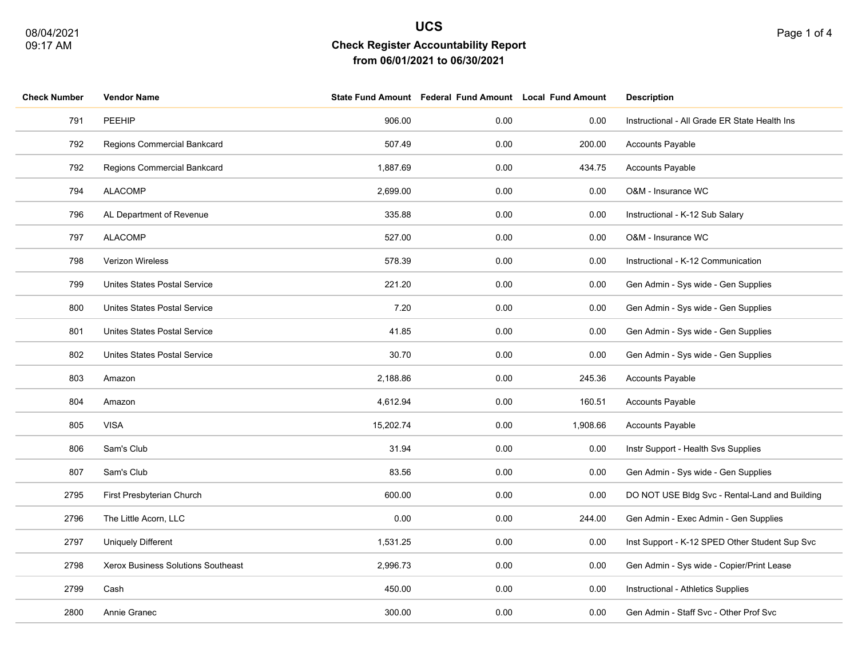| <b>Check Number</b> | <b>Vendor Name</b>                 |           | State Fund Amount Federal Fund Amount Local Fund Amount |          | <b>Description</b>                             |
|---------------------|------------------------------------|-----------|---------------------------------------------------------|----------|------------------------------------------------|
| 791                 | PEEHIP                             | 906.00    | 0.00                                                    | 0.00     | Instructional - All Grade ER State Health Ins  |
| 792                 | Regions Commercial Bankcard        | 507.49    | 0.00                                                    | 200.00   | <b>Accounts Payable</b>                        |
| 792                 | Regions Commercial Bankcard        | 1,887.69  | 0.00                                                    | 434.75   | <b>Accounts Payable</b>                        |
| 794                 | <b>ALACOMP</b>                     | 2,699.00  | 0.00                                                    | 0.00     | O&M - Insurance WC                             |
| 796                 | AL Department of Revenue           | 335.88    | 0.00                                                    | 0.00     | Instructional - K-12 Sub Salary                |
| 797                 | <b>ALACOMP</b>                     | 527.00    | 0.00                                                    | 0.00     | O&M - Insurance WC                             |
| 798                 | Verizon Wireless                   | 578.39    | 0.00                                                    | 0.00     | Instructional - K-12 Communication             |
| 799                 | Unites States Postal Service       | 221.20    | 0.00                                                    | 0.00     | Gen Admin - Sys wide - Gen Supplies            |
| 800                 | Unites States Postal Service       | 7.20      | 0.00                                                    | 0.00     | Gen Admin - Sys wide - Gen Supplies            |
| 801                 | Unites States Postal Service       | 41.85     | 0.00                                                    | 0.00     | Gen Admin - Sys wide - Gen Supplies            |
| 802                 | Unites States Postal Service       | 30.70     | 0.00                                                    | 0.00     | Gen Admin - Sys wide - Gen Supplies            |
| 803                 | Amazon                             | 2,188.86  | 0.00                                                    | 245.36   | <b>Accounts Payable</b>                        |
| 804                 | Amazon                             | 4,612.94  | 0.00                                                    | 160.51   | <b>Accounts Payable</b>                        |
| 805                 | <b>VISA</b>                        | 15,202.74 | 0.00                                                    | 1,908.66 | <b>Accounts Payable</b>                        |
| 806                 | Sam's Club                         | 31.94     | 0.00                                                    | 0.00     | Instr Support - Health Svs Supplies            |
| 807                 | Sam's Club                         | 83.56     | 0.00                                                    | 0.00     | Gen Admin - Sys wide - Gen Supplies            |
| 2795                | First Presbyterian Church          | 600.00    | 0.00                                                    | 0.00     | DO NOT USE Bldg Svc - Rental-Land and Building |
| 2796                | The Little Acorn, LLC              | 0.00      | 0.00                                                    | 244.00   | Gen Admin - Exec Admin - Gen Supplies          |
| 2797                | <b>Uniquely Different</b>          | 1,531.25  | 0.00                                                    | 0.00     | Inst Support - K-12 SPED Other Student Sup Svc |
| 2798                | Xerox Business Solutions Southeast | 2,996.73  | 0.00                                                    | 0.00     | Gen Admin - Sys wide - Copier/Print Lease      |
| 2799                | Cash                               | 450.00    | 0.00                                                    | 0.00     | Instructional - Athletics Supplies             |
| 2800                | Annie Granec                       | 300.00    | 0.00                                                    | 0.00     | Gen Admin - Staff Svc - Other Prof Svc         |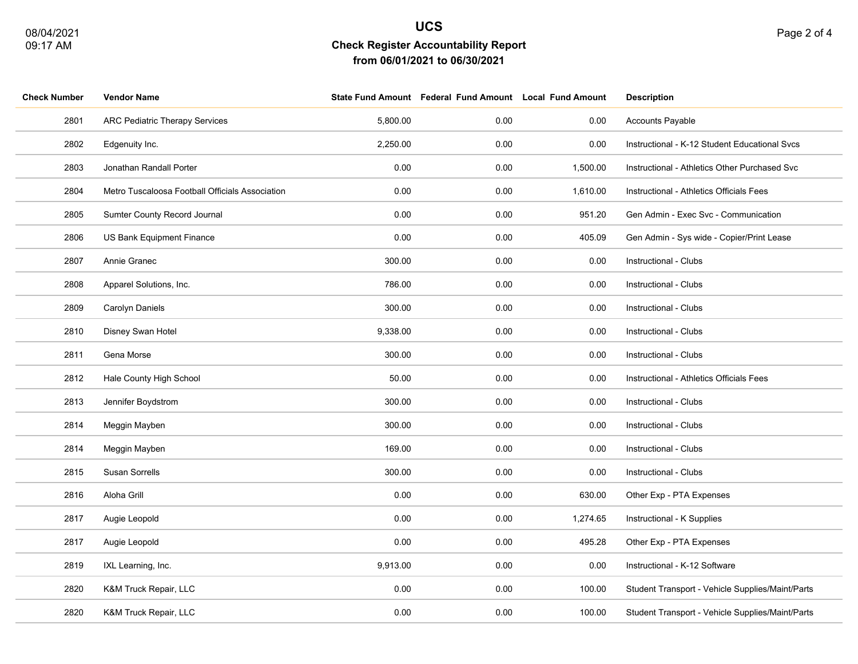| <b>Check Number</b> | <b>Vendor Name</b>                              |          | State Fund Amount Federal Fund Amount Local Fund Amount |          | <b>Description</b>                               |
|---------------------|-------------------------------------------------|----------|---------------------------------------------------------|----------|--------------------------------------------------|
| 2801                | <b>ARC Pediatric Therapy Services</b>           | 5,800.00 | 0.00                                                    | 0.00     | <b>Accounts Payable</b>                          |
| 2802                | Edgenuity Inc.                                  | 2,250.00 | 0.00                                                    | 0.00     | Instructional - K-12 Student Educational Svcs    |
| 2803                | Jonathan Randall Porter                         | 0.00     | 0.00                                                    | 1,500.00 | Instructional - Athletics Other Purchased Svc    |
| 2804                | Metro Tuscaloosa Football Officials Association | 0.00     | 0.00                                                    | 1,610.00 | Instructional - Athletics Officials Fees         |
| 2805                | Sumter County Record Journal                    | 0.00     | 0.00                                                    | 951.20   | Gen Admin - Exec Svc - Communication             |
| 2806                | US Bank Equipment Finance                       | 0.00     | 0.00                                                    | 405.09   | Gen Admin - Sys wide - Copier/Print Lease        |
| 2807                | Annie Granec                                    | 300.00   | 0.00                                                    | 0.00     | Instructional - Clubs                            |
| 2808                | Apparel Solutions, Inc.                         | 786.00   | 0.00                                                    | 0.00     | Instructional - Clubs                            |
| 2809                | Carolyn Daniels                                 | 300.00   | 0.00                                                    | 0.00     | Instructional - Clubs                            |
| 2810                | Disney Swan Hotel                               | 9,338.00 | 0.00                                                    | 0.00     | Instructional - Clubs                            |
| 2811                | Gena Morse                                      | 300.00   | 0.00                                                    | 0.00     | Instructional - Clubs                            |
| 2812                | Hale County High School                         | 50.00    | 0.00                                                    | 0.00     | Instructional - Athletics Officials Fees         |
| 2813                | Jennifer Boydstrom                              | 300.00   | 0.00                                                    | 0.00     | Instructional - Clubs                            |
| 2814                | Meggin Mayben                                   | 300.00   | 0.00                                                    | 0.00     | Instructional - Clubs                            |
| 2814                | Meggin Mayben                                   | 169.00   | 0.00                                                    | 0.00     | Instructional - Clubs                            |
| 2815                | Susan Sorrells                                  | 300.00   | 0.00                                                    | 0.00     | Instructional - Clubs                            |
| 2816                | Aloha Grill                                     | 0.00     | 0.00                                                    | 630.00   | Other Exp - PTA Expenses                         |
| 2817                | Augie Leopold                                   | 0.00     | 0.00                                                    | 1,274.65 | Instructional - K Supplies                       |
| 2817                | Augie Leopold                                   | 0.00     | 0.00                                                    | 495.28   | Other Exp - PTA Expenses                         |
| 2819                | IXL Learning, Inc.                              | 9,913.00 | 0.00                                                    | 0.00     | Instructional - K-12 Software                    |
| 2820                | K&M Truck Repair, LLC                           | 0.00     | 0.00                                                    | 100.00   | Student Transport - Vehicle Supplies/Maint/Parts |
| 2820                | K&M Truck Repair, LLC                           | 0.00     | 0.00                                                    | 100.00   | Student Transport - Vehicle Supplies/Maint/Parts |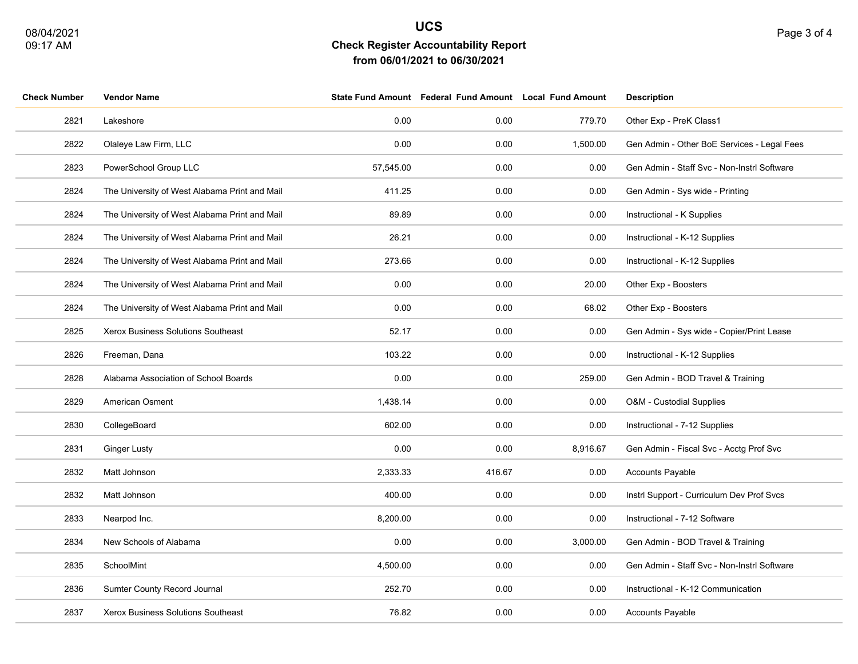| <b>Check Number</b> | <b>Vendor Name</b>                            |           | State Fund Amount Federal Fund Amount Local Fund Amount |          | <b>Description</b>                          |
|---------------------|-----------------------------------------------|-----------|---------------------------------------------------------|----------|---------------------------------------------|
| 2821                | Lakeshore                                     | 0.00      | 0.00                                                    | 779.70   | Other Exp - PreK Class1                     |
| 2822                | Olaleye Law Firm, LLC                         | 0.00      | 0.00                                                    | 1,500.00 | Gen Admin - Other BoE Services - Legal Fees |
| 2823                | PowerSchool Group LLC                         | 57,545.00 | 0.00                                                    | 0.00     | Gen Admin - Staff Svc - Non-Instrl Software |
| 2824                | The University of West Alabama Print and Mail | 411.25    | 0.00                                                    | 0.00     | Gen Admin - Sys wide - Printing             |
| 2824                | The University of West Alabama Print and Mail | 89.89     | 0.00                                                    | 0.00     | Instructional - K Supplies                  |
| 2824                | The University of West Alabama Print and Mail | 26.21     | 0.00                                                    | 0.00     | Instructional - K-12 Supplies               |
| 2824                | The University of West Alabama Print and Mail | 273.66    | 0.00                                                    | 0.00     | Instructional - K-12 Supplies               |
| 2824                | The University of West Alabama Print and Mail | 0.00      | 0.00                                                    | 20.00    | Other Exp - Boosters                        |
| 2824                | The University of West Alabama Print and Mail | 0.00      | 0.00                                                    | 68.02    | Other Exp - Boosters                        |
| 2825                | Xerox Business Solutions Southeast            | 52.17     | 0.00                                                    | 0.00     | Gen Admin - Sys wide - Copier/Print Lease   |
| 2826                | Freeman, Dana                                 | 103.22    | 0.00                                                    | 0.00     | Instructional - K-12 Supplies               |
| 2828                | Alabama Association of School Boards          | 0.00      | 0.00                                                    | 259.00   | Gen Admin - BOD Travel & Training           |
| 2829                | American Osment                               | 1,438.14  | 0.00                                                    | 0.00     | O&M - Custodial Supplies                    |
| 2830                | CollegeBoard                                  | 602.00    | 0.00                                                    | 0.00     | Instructional - 7-12 Supplies               |
| 2831                | <b>Ginger Lusty</b>                           | 0.00      | 0.00                                                    | 8,916.67 | Gen Admin - Fiscal Svc - Acctg Prof Svc     |
| 2832                | Matt Johnson                                  | 2,333.33  | 416.67                                                  | 0.00     | Accounts Payable                            |
| 2832                | Matt Johnson                                  | 400.00    | 0.00                                                    | 0.00     | Instrl Support - Curriculum Dev Prof Svcs   |
| 2833                | Nearpod Inc.                                  | 8,200.00  | 0.00                                                    | 0.00     | Instructional - 7-12 Software               |
| 2834                | New Schools of Alabama                        | 0.00      | 0.00                                                    | 3,000.00 | Gen Admin - BOD Travel & Training           |
| 2835                | SchoolMint                                    | 4,500.00  | 0.00                                                    | 0.00     | Gen Admin - Staff Svc - Non-Instrl Software |
| 2836                | Sumter County Record Journal                  | 252.70    | 0.00                                                    | 0.00     | Instructional - K-12 Communication          |
| 2837                | Xerox Business Solutions Southeast            | 76.82     | 0.00                                                    | 0.00     | <b>Accounts Payable</b>                     |
|                     |                                               |           |                                                         |          |                                             |